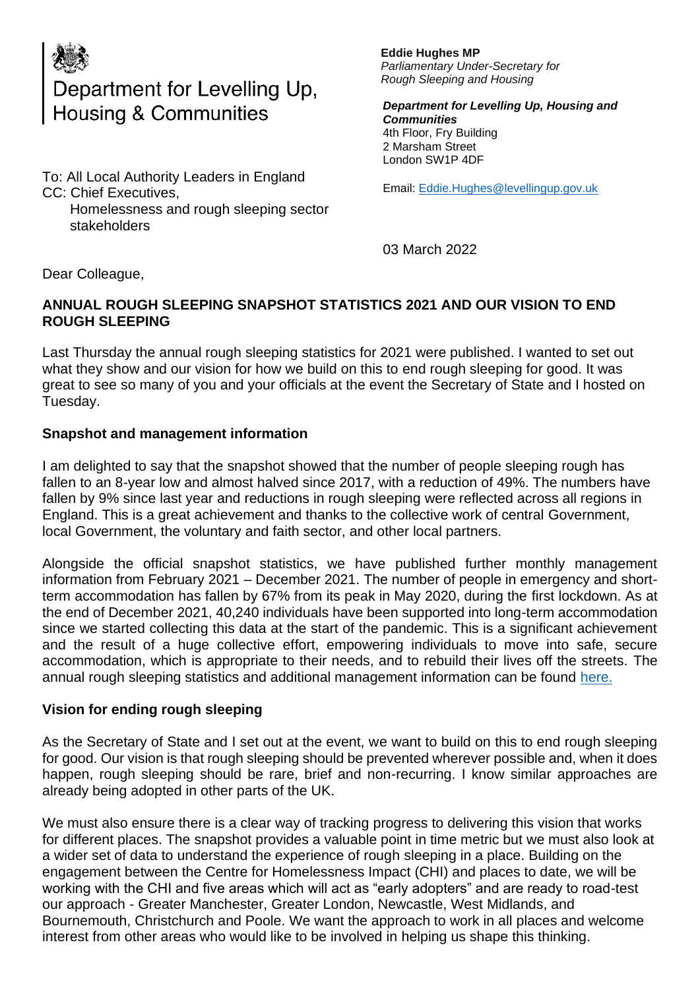

## Department for Levelling Up, **Housing & Communities**

To: All Local Authority Leaders in England CC: Chief Executives, Homelessness and rough sleeping sector

stakeholders

**Eddie Hughes MP** *Parliamentary Under-Secretary for Rough Sleeping and Housing*

*Department for Levelling Up, Housing and Communities*  4th Floor, Fry Building 2 Marsham Street London SW1P 4DF

Email: [Eddie.Hughes@levellingup.gov.uk](mailto:Eddie.Hughes@levellingup.gov.uk)

03 March 2022

Dear Colleague,

## **ANNUAL ROUGH SLEEPING SNAPSHOT STATISTICS 2021 AND OUR VISION TO END ROUGH SLEEPING**

Last Thursday the annual rough sleeping statistics for 2021 were published. I wanted to set out what they show and our vision for how we build on this to end rough sleeping for good. It was great to see so many of you and your officials at the event the Secretary of State and I hosted on Tuesday.

## **Snapshot and management information**

I am delighted to say that the snapshot showed that the number of people sleeping rough has fallen to an 8-year low and almost halved since 2017, with a reduction of 49%. The numbers have fallen by 9% since last year and reductions in rough sleeping were reflected across all regions in England. This is a great achievement and thanks to the collective work of central Government, local Government, the voluntary and faith sector, and other local partners.

Alongside the official snapshot statistics, we have published further monthly management information from February 2021 – December 2021. The number of people in emergency and shortterm accommodation has fallen by 67% from its peak in May 2020, during the first lockdown. As at the end of December 2021, 40,240 individuals have been supported into long-term accommodation since we started collecting this data at the start of the pandemic. This is a significant achievement and the result of a huge collective effort, empowering individuals to move into safe, secure accommodation, which is appropriate to their needs, and to rebuild their lives off the streets. The annual rough sleeping statistics and additional management information can be found [here.](https://www.gov.uk/government/statistics/rough-sleeping-snapshot-in-england-autumn-2021)

## **Vision for ending rough sleeping**

As the Secretary of State and I set out at the event, we want to build on this to end rough sleeping for good. Our vision is that rough sleeping should be prevented wherever possible and, when it does happen, rough sleeping should be rare, brief and non-recurring. I know similar approaches are already being adopted in other parts of the UK.

We must also ensure there is a clear way of tracking progress to delivering this vision that works for different places. The snapshot provides a valuable point in time metric but we must also look at a wider set of data to understand the experience of rough sleeping in a place. Building on the engagement between the Centre for Homelessness Impact (CHI) and places to date, we will be working with the CHI and five areas which will act as "early adopters" and are ready to road-test our approach - Greater Manchester, Greater London, Newcastle, West Midlands, and Bournemouth, Christchurch and Poole. We want the approach to work in all places and welcome interest from other areas who would like to be involved in helping us shape this thinking.